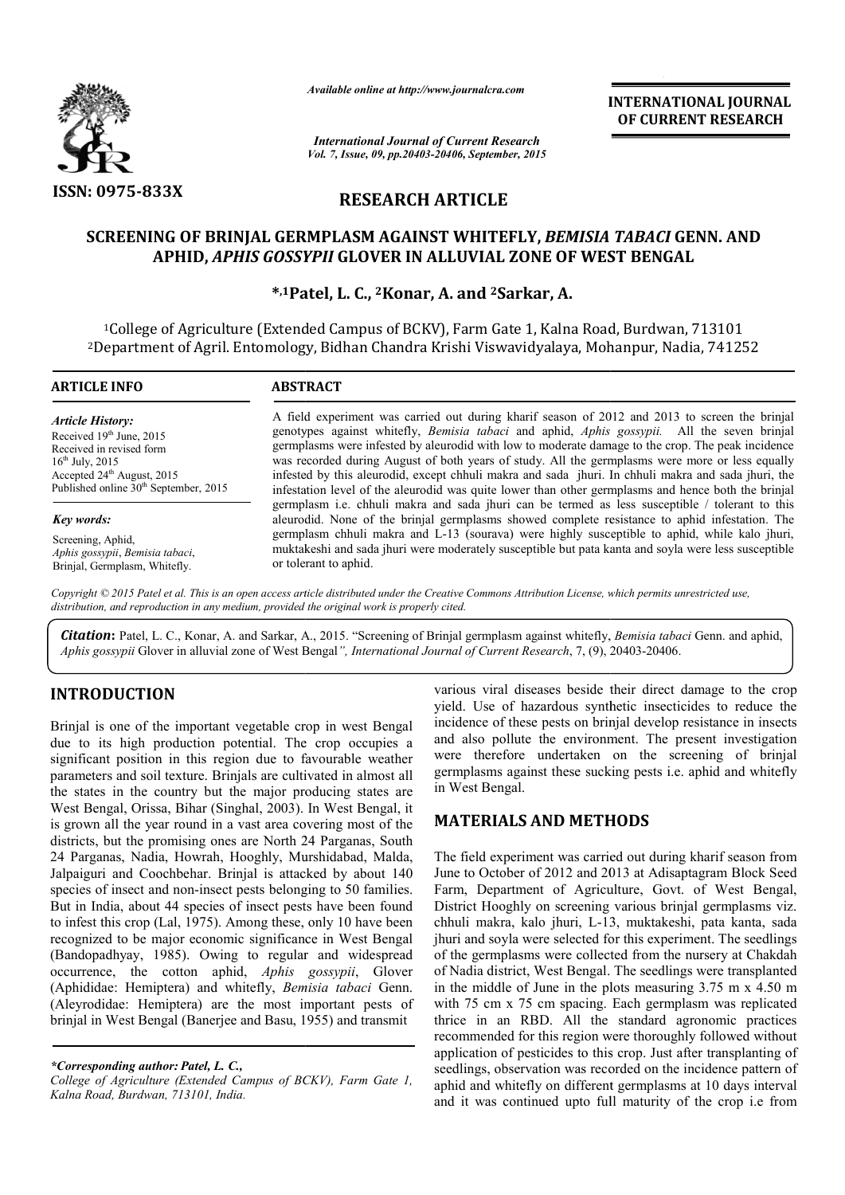

*Available online at http://www.journalcra.com*

*International Journal of Current Research Vol. 7, Issue, 09, pp.20403-20406, September, 2015* INTERNATIONAL INTERNATIONAL JOURNAL OF CURRENT RESEARCH

# RESEARCH ARTICLE

## SCREENING OF BRINJAL GERMPLASM AGAINST WHITEFLY, *BEMISIA TABACI* GENN. AND APHID, *APHIS GOSSYPII* GLOVER IN ALLUVIAL ZONE OF WEST BENGAL

\*,1Patel, L. C., Patel, 2Konar, A. and 2Sarkar, A.

1College of Agriculture (Extended Campus of BCKV), Farm Gate 1, Kalna Road, Burdwan, 713101 <sup>1</sup>College of Agriculture (Extended Campus of BCKV), Farm Gate 1, Kalna Road, Burdwan, 713101<br>2Department of Agril. Entomology, Bidhan Chandra Krishi Viswavidyalaya, Mohanpur, Nadia, 741252

| <b>ARTICLE INFO</b>                                                                                                                                                                                           | <b>ABSTRACT</b>                                                                                                                                                                                                                                                                                                                                                                                                                                                                                                                                                                                                     |
|---------------------------------------------------------------------------------------------------------------------------------------------------------------------------------------------------------------|---------------------------------------------------------------------------------------------------------------------------------------------------------------------------------------------------------------------------------------------------------------------------------------------------------------------------------------------------------------------------------------------------------------------------------------------------------------------------------------------------------------------------------------------------------------------------------------------------------------------|
| <b>Article History:</b><br>Received 19th June, 2015<br>Received in revised form<br>$16^{\text{th}}$ July, 2015<br>Accepted $24^{\text{th}}$ August, 2015<br>Published online 30 <sup>th</sup> September, 2015 | A field experiment was carried out during kharif season of 2012 and 2013 to screen the brinial<br>genotypes against whitefly, Bemisia tabaci and aphid, Aphis gossypii. All the seven brinjal<br>germplasms were infested by aleurodid with low to moderate damage to the crop. The peak incidence<br>was recorded during August of both years of study. All the germplasms were more or less equally<br>infested by this aleurodid, except chhuli makra and sada jhuri. In chhuli makra and sada jhuri, the<br>infestation level of the aleurodid was quite lower than other germplasms and hence both the brinjal |
| Key words:                                                                                                                                                                                                    | germplasm i.e. chhuli makra and sada jhuri can be termed as less susceptible / tolerant to this<br>aleurodid. None of the brinjal germplasms showed complete resistance to aphid infestation. The                                                                                                                                                                                                                                                                                                                                                                                                                   |
| Screening, Aphid,<br>Aphis gossypii, Bemisia tabaci,<br>Brinjal, Germplasm, Whitefly.                                                                                                                         | germplasm chhuli makra and L-13 (sourava) were highly susceptible to aphid, while kalo jhuri,<br>muktakeshi and sada jhuri were moderately susceptible but pata kanta and soyla were less susceptible<br>or tolerant to aphid.                                                                                                                                                                                                                                                                                                                                                                                      |
| $\alpha$ $\alpha$ $\alpha$ $\alpha$                                                                                                                                                                           | $\cdots$ $\cdots$ $\cdots$ $\cdots$ $\cdots$ $\cdots$<br>$\cdots$ $\cdots$ $\cdots$                                                                                                                                                                                                                                                                                                                                                                                                                                                                                                                                 |

*Copyright © 2015 Patel et al. This is an open access article distributed under the Creative Commons Att Attribution License, which ribution permits unrestricted use, distribution, and reproduction in any medium, provided the original work is properly cited.*

Citation: Patel, L. C., Konar, A. and Sarkar, A., 2015. "Screening of Brinjal germplasm against whitefly, *Bemisia tabaci* Genn. and aphid, Aphis gossypii Glover in alluvial zone of West Bengal", *International Journal of Current Research*, 7, (9), 20403-20406.

# INTRODUCTION

Brinjal is one of the important vegetable crop in west Bengal due to its high production potential. The crop occupies a significant position in this region due to favourable weather parameters and soil texture. Brinjals are cultivated in almost all the states in the country but the major producing states are West Bengal, Orissa, Bihar (Singhal, 2003). In West Bengal, it is grown all the year round in a vast area covering most of the districts, but the promising ones are North 24 Parganas, South 24 Parganas, Nadia, Howrah, Hooghly, Murshidabad, Malda, Jalpaiguri and Coochbehar. Brinjal is attacked by about 140 species of insect and non-insect pests belonging to 50 families. But in India, about 44 species of insect pests have been found to infest this crop (Lal, 1975). Among these, only 10 have been recognized to be major economic significance in West Bengal (Bandopadhyay, 1985). Owing to regular and widespread occurrence, the cotton aphid, *Aphis gossypii* (Aphididae: Hemiptera) and whitefly, *Bemisia tabaci* Genn. (Aleyrodidae: Hemiptera) are the most important pests of brinjal in West Bengal (Banerjee and Basu, 1955) and transmit tes in the country but the major producing states are Bengal, Orissa, Bihar (Singhal, 2003). In West Bengal, it *x*n all the year round in a vast area covering most of the s, but the promising ones are North 24 Parganas, S

*\*Corresponding author: Patel, L. C.,* 

*College of Agriculture (Extended Campus of BCKV), Farm Gate 1, Kalna Road, Burdwan, 713101, India.*

various viral diseases beside their direct damage to the crop yield. Use of hazardous synthetic insecticides to reduce the incidence of these pests on brinjal develop resistance in insects and also pollute the environment. The present investigation were therefore undertaken on the screening of brinjal germplasms against these sucking pests i.e. aphid and whitefly in West Bengal. wiral diseases beside their direct damage to<br>se of hazardous synthetic insecticides to ree<br>e of these pests on brinjal develop resistance i<br>pollute the environment. The present inve<br>erefore undertaken on the screening of<br>s

## MATERIALS AND METHODS METHODS

The field experiment was carried out during kharif season from The field experiment was carried out during kharif season from<br>June to October of 2012 and 2013 at Adisaptagram Block Seed Farm, Department of Agriculture, Govt. of West Bengal, District Hooghly on screening various brinjal germplasms viz. chhuli makra, kalo jhuri, L-13, muktakeshi, pata kanta, sada jhuri and soyla were selected for this experiment. The seedlings of the germplasms were collected from the nursery at Chakdah of Nadia district, West Bengal. The seedlings were transplanted in the middle of June in the plots measuring 3.75 m x 4.50 m with 75 cm x 75 cm spacing. Each germplasm was replicated thrice in an RBD. All the standard agronomic practices recommended for this region were thoroughly followed without application of pesticides to this crop. Just after transplanting of seedlings, observation was recorded on the incidence pattern of aphid and whitefly on different germplasms at 10 days interval and it was continued upto full maturity of the crop i.e from District Hooghly on screening various brinjal germplasms viz.<br>chhuli makra, kalo jhuri, L-13, muktakeshi, pata kanta, sada<br>jhuri and soyla were selected for this experiment. The seedlings germplasms were collected from the nursery at Chakdah<br>lia district, West Bengal. The seedlings were transplanted<br>middle of June in the plots measuring 3.75 m x 4.50 m<br>5 cm x 75 cm spacing. Each germplasm was replicated<br>in INTERNATIONAL JOURNAL OF CURRENT RESEARCH<br>
or CURRENT RESEARCH<br>
or CURRENT RESEARCH<br>
or CURRENT RESEARCH<br>
MASS OF WEST BENGAL<br>
Kar, A.<br>
1, Kalna Road, Burdwan, 713101<br>
dyalaya, Mohanpur, Nadia, 741252<br>
rif season of 2012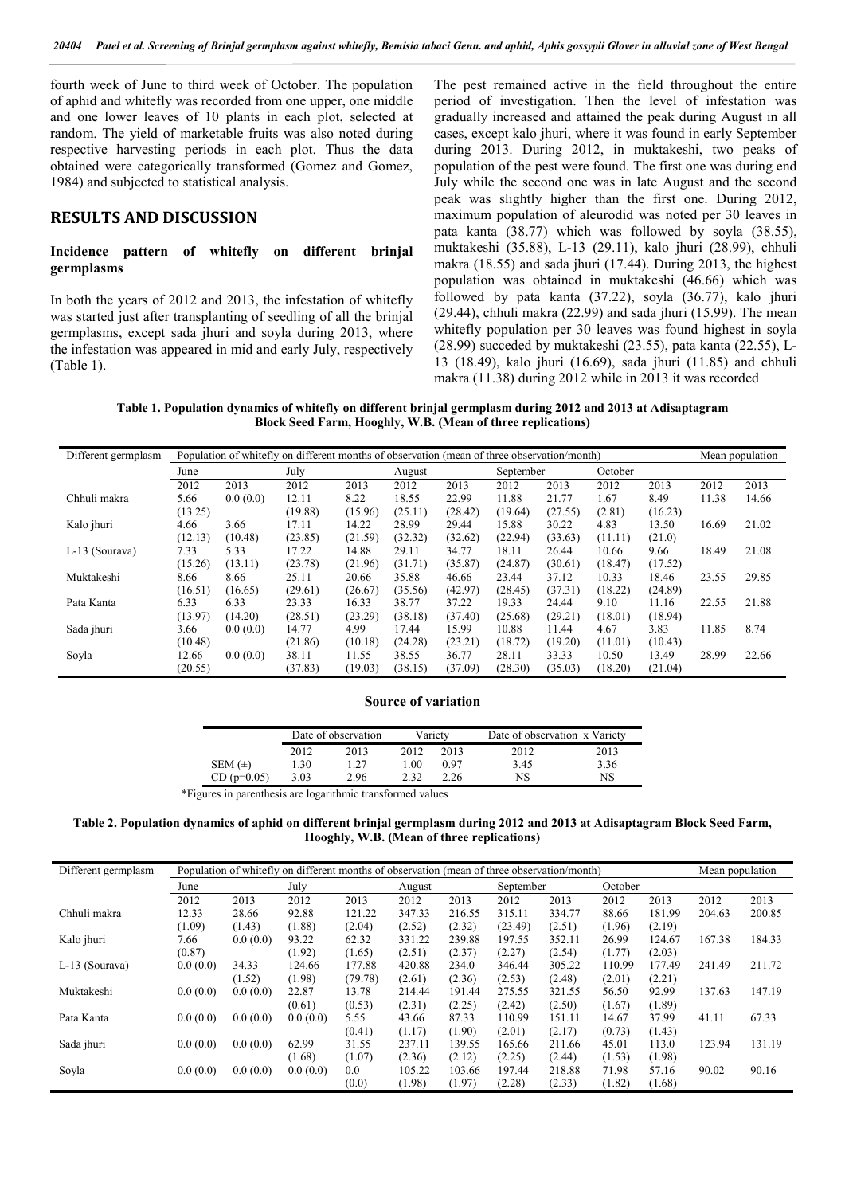fourth week of June to third week of October. The population of aphid and whitefly was recorded from one upper, one middle and one lower leaves of 10 plants in each plot, selected at random. The yield of marketable fruits was also noted during respective harvesting periods in each plot. Thus the data obtained were categorically transformed (Gomez and Gomez, 1984) and subjected to statistical analysis.

## RESULTS AND DISCUSSION

### Incidence pattern of whitefly on different brinjal germplasms

In both the years of 2012 and 2013, the infestation of whitefly was started just after transplanting of seedling of all the brinjal germplasms, except sada jhuri and soyla during 2013, where the infestation was appeared in mid and early July, respectively (Table 1).

The pest remained active in the field throughout the entire period of investigation. Then the level of infestation was gradually increased and attained the peak during August in all cases, except kalo jhuri, where it was found in early September during 2013. During 2012, in muktakeshi, two peaks of population of the pest were found. The first one was during end July while the second one was in late August and the second peak was slightly higher than the first one. During 2012, maximum population of aleurodid was noted per 30 leaves in pata kanta (38.77) which was followed by soyla (38.55), muktakeshi (35.88), L-13 (29.11), kalo jhuri (28.99), chhuli makra (18.55) and sada jhuri (17.44). During 2013, the highest population was obtained in muktakeshi (46.66) which was followed by pata kanta (37.22), soyla (36.77), kalo jhuri (29.44), chhuli makra (22.99) and sada jhuri (15.99). The mean whitefly population per 30 leaves was found highest in soyla (28.99) succeded by muktakeshi (23.55), pata kanta (22.55), L-13 (18.49), kalo jhuri (16.69), sada jhuri (11.85) and chhuli makra (11.38) during 2012 while in 2013 it was recorded

Table 1. Population dynamics of whitefly on different brinjal germplasm during 2012 and 2013 at Adisaptagram Block Seed Farm, Hooghly, W.B. (Mean of three replications)

| Different germplasm | Population of whitefly on different months of observation (mean of three observation/month) |          |         |         |         |         |           |         |         |         |       | Mean population |
|---------------------|---------------------------------------------------------------------------------------------|----------|---------|---------|---------|---------|-----------|---------|---------|---------|-------|-----------------|
|                     | June                                                                                        |          | July    |         | August  |         | September |         | October |         |       |                 |
|                     | 2012                                                                                        | 2013     | 2012    | 2013    | 2012    | 2013    | 2012      | 2013    | 2012    | 2013    | 2012  | 2013            |
| Chhuli makra        | 5.66                                                                                        | 0.0(0.0) | 12.11   | 8.22    | 18.55   | 22.99   | 11.88     | 21.77   | 1.67    | 8.49    | 11.38 | 14.66           |
|                     | (13.25)                                                                                     |          | (19.88) | (15.96) | (25.11) | (28.42) | (19.64)   | (27.55) | (2.81)  | (16.23) |       |                 |
| Kalo jhuri          | 4.66                                                                                        | 3.66     | 17.11   | 14.22   | 28.99   | 29.44   | 15.88     | 30.22   | 4.83    | 13.50   | 16.69 | 21.02           |
|                     | (12.13)                                                                                     | (10.48)  | (23.85) | (21.59) | (32.32) | (32.62) | (22.94)   | (33.63) | (11.11) | (21.0)  |       |                 |
| L-13 (Sourava)      | 7.33                                                                                        | 5.33     | 17.22   | 14.88   | 29.11   | 34.77   | 18.11     | 26.44   | 10.66   | 9.66    | 18.49 | 21.08           |
|                     | (15.26)                                                                                     | (13.11)  | (23.78) | (21.96) | (31.71) | (35.87) | (24.87)   | (30.61) | (18.47) | (17.52) |       |                 |
| Muktakeshi          | 8.66                                                                                        | 8.66     | 25.11   | 20.66   | 35.88   | 46.66   | 23.44     | 37.12   | 10.33   | 18.46   | 23.55 | 29.85           |
|                     | (16.51)                                                                                     | (16.65)  | (29.61) | (26.67) | (35.56) | (42.97) | (28.45)   | (37.31) | (18.22) | (24.89) |       |                 |
| Pata Kanta          | 6.33                                                                                        | 6.33     | 23.33   | 16.33   | 38.77   | 37.22   | 19.33     | 24.44   | 9.10    | 11.16   | 22.55 | 21.88           |
|                     | (13.97)                                                                                     | (14.20)  | (28.51) | (23.29) | (38.18) | (37.40) | (25.68)   | (29.21) | (18.01) | (18.94) |       |                 |
| Sada jhuri          | 3.66                                                                                        | 0.0(0.0) | 14.77   | 4.99    | 17.44   | 15.99   | 10.88     | 11.44   | 4.67    | 3.83    | 11.85 | 8.74            |
|                     | (10.48)                                                                                     |          | (21.86) | (10.18) | (24.28) | (23.21) | (18.72)   | (19.20) | (11.01) | (10.43) |       |                 |
| Soyla               | 12.66                                                                                       | 0.0(0.0) | 38.11   | 11.55   | 38.55   | 36.77   | 28.11     | 33.33   | 10.50   | 13.49   | 28.99 | 22.66           |
|                     | (20.55)                                                                                     |          | (37.83) | (19.03) | (38.15) | (37.09) | (28.30)   | (35.03) | (18.20) | (21.04) |       |                 |

### Source of variation

|               |      | Date of observation |      | Varietv | Date of observation x Variety |      |  |
|---------------|------|---------------------|------|---------|-------------------------------|------|--|
|               | 2012 | 2013                | 2012 | 2013    | 2012                          | 2013 |  |
| SEM $(\pm)$   | l.30 | .27                 | LOO. | 0.97    | 3.45                          | 3.36 |  |
| $CD (p=0.05)$ | 3.03 | 2.96                | າ າາ | 2.26    | NS                            | NS   |  |

\*Figures in parenthesis are logarithmic transformed values

Table 2. Population dynamics of aphid on different brinjal germplasm during 2012 and 2013 at Adisaptagram Block Seed Farm, Hooghly, W.B. (Mean of three replications)

| Different germplasm | Population of whitefly on different months of observation (mean of three observation/month) |          |          |           |        |        |         |        |        |        |        | Mean population |
|---------------------|---------------------------------------------------------------------------------------------|----------|----------|-----------|--------|--------|---------|--------|--------|--------|--------|-----------------|
|                     | July<br>June                                                                                |          | August   | September |        |        | October |        |        |        |        |                 |
|                     | 2012                                                                                        | 2013     | 2012     | 2013      | 2012   | 2013   | 2012    | 2013   | 2012   | 2013   | 2012   | 2013            |
| Chhuli makra        | 12.33                                                                                       | 28.66    | 92.88    | 121.22    | 347.33 | 216.55 | 315.11  | 334.77 | 88.66  | 181.99 | 204.63 | 200.85          |
|                     | (1.09)                                                                                      | (1.43)   | (1.88)   | (2.04)    | (2.52) | (2.32) | (23.49) | (2.51) | (1.96) | (2.19) |        |                 |
| Kalo jhuri          | 7.66                                                                                        | 0.0(0.0) | 93.22    | 62.32     | 331.22 | 239.88 | 197.55  | 352.11 | 26.99  | 124.67 | 167.38 | 184.33          |
|                     | (0.87)                                                                                      |          | (1.92)   | (1.65)    | (2.51) | (2.37) | (2.27)  | (2.54) | (1.77) | (2.03) |        |                 |
| L-13 (Sourava)      | 0.0(0.0)                                                                                    | 34.33    | 124.66   | 177.88    | 420.88 | 234.0  | 346.44  | 305.22 | 110.99 | 177.49 | 241.49 | 211.72          |
|                     |                                                                                             | (1.52)   | (1.98)   | (79.78)   | (2.61) | (2.36) | (2.53)  | (2.48) | (2.01) | (2.21) |        |                 |
| Muktakeshi          | 0.0(0.0)                                                                                    | 0.0(0.0) | 22.87    | 13.78     | 214.44 | 191.44 | 275.55  | 321.55 | 56.50  | 92.99  | 137.63 | 147.19          |
|                     |                                                                                             |          | (0.61)   | (0.53)    | (2.31) | (2.25) | (2.42)  | (2.50) | (1.67) | (1.89) |        |                 |
| Pata Kanta          | 0.0(0.0)                                                                                    | 0.0(0.0) | 0.0(0.0) | 5.55      | 43.66  | 87.33  | 110.99  | 151.11 | 14.67  | 37.99  | 41.11  | 67.33           |
|                     |                                                                                             |          |          | (0.41)    | (1.17) | (1.90) | (2.01)  | (2.17) | (0.73) | (1.43) |        |                 |
| Sada jhuri          | 0.0(0.0)                                                                                    | 0.0(0.0) | 62.99    | 31.55     | 237.11 | 139.55 | 165.66  | 211.66 | 45.01  | 113.0  | 123.94 | 131.19          |
|                     |                                                                                             |          | (1.68)   | (1.07)    | (2.36) | (2.12) | (2.25)  | (2.44) | (1.53) | (1.98) |        |                 |
| Soyla               | 0.0(0.0)                                                                                    | 0.0(0.0) | 0.0(0.0) | 0.0       | 105.22 | 103.66 | 197.44  | 218.88 | 71.98  | 57.16  | 90.02  | 90.16           |
|                     |                                                                                             |          |          | (0.0)     | (1.98) | (1.97) | (2.28)  | (2.33) | (1.82) | (1.68) |        |                 |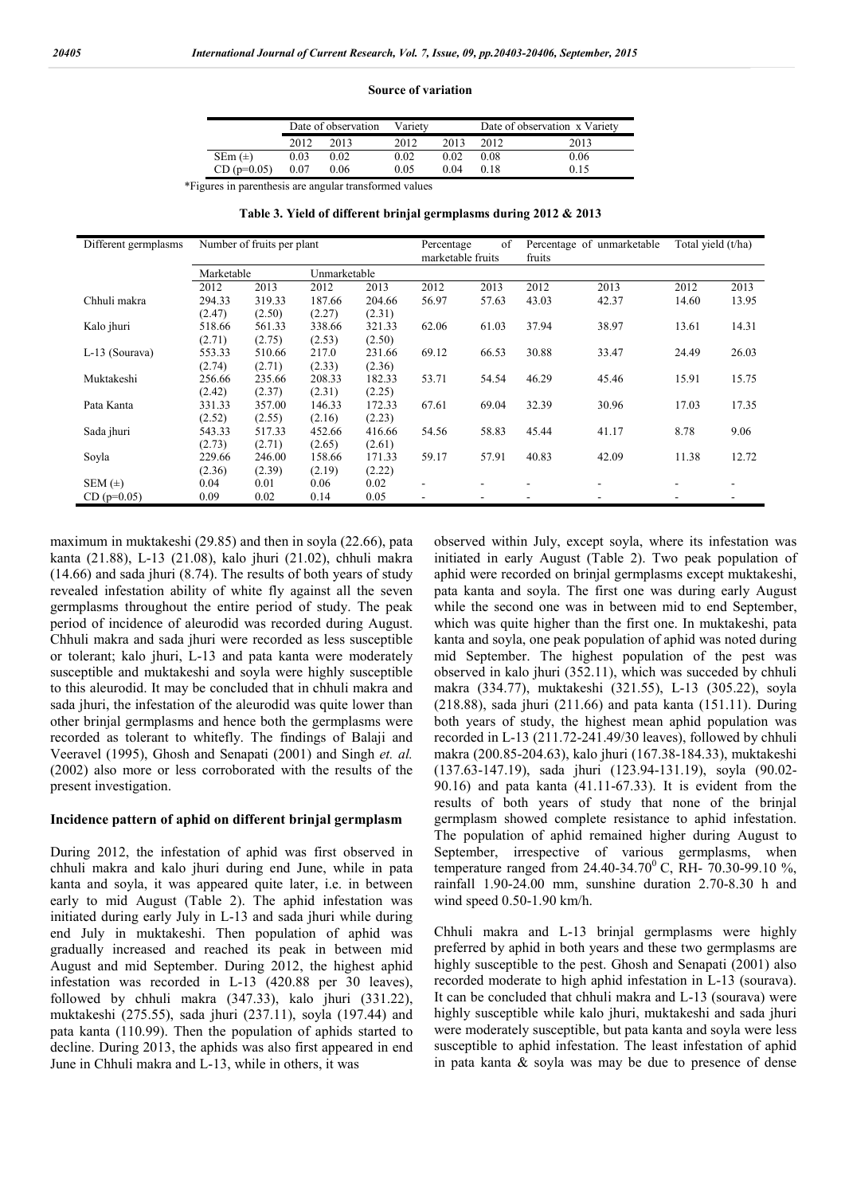#### Source of variation

|               |      | Date of observation | Varietv |      | Date of observation x Variety |      |  |
|---------------|------|---------------------|---------|------|-------------------------------|------|--|
|               | 2012 | 2013                | 2012    | 2013 | 2012.                         | 2013 |  |
| $SEm (\pm)$   | 0.03 | 0.02                | 0.02    | 0.02 | 0.08                          | 0.06 |  |
| $CD (p=0.05)$ | 0.07 | 0.06                | 0.05    | 0.04 | 0.18                          | 0.15 |  |

\*Figures in parenthesis are angular transformed values

Table 3. Yield of different brinjal germplasms during 2012 & 2013

| Different germplasms |            | Number of fruits per plant |        |              | Percentage<br>marketable fruits | of    | fruits | Percentage of unmarketable | Total vield (t/ha) |       |
|----------------------|------------|----------------------------|--------|--------------|---------------------------------|-------|--------|----------------------------|--------------------|-------|
|                      | Marketable |                            |        | Unmarketable |                                 |       |        |                            |                    |       |
|                      | 2012       | 2013                       | 2012   | 2013         | 2012                            | 2013  | 2012   | 2013                       | 2012               | 2013  |
| Chhuli makra         | 294.33     | 319.33                     | 187.66 | 204.66       | 56.97                           | 57.63 | 43.03  | 42.37                      | 14.60              | 13.95 |
|                      | (2.47)     | (2.50)                     | (2.27) | (2.31)       |                                 |       |        |                            |                    |       |
| Kalo jhuri           | 518.66     | 561.33                     | 338.66 | 321.33       | 62.06                           | 61.03 | 37.94  | 38.97                      | 13.61              | 14.31 |
|                      | (2.71)     | (2.75)                     | (2.53) | (2.50)       |                                 |       |        |                            |                    |       |
| L-13 (Sourava)       | 553.33     | 510.66                     | 217.0  | 231.66       | 69.12                           | 66.53 | 30.88  | 33.47                      | 24.49              | 26.03 |
|                      | (2.74)     | (2.71)                     | (2.33) | (2.36)       |                                 |       |        |                            |                    |       |
| Muktakeshi           | 256.66     | 235.66                     | 208.33 | 182.33       | 53.71                           | 54.54 | 46.29  | 45.46                      | 15.91              | 15.75 |
|                      | (2.42)     | (2.37)                     | (2.31) | (2.25)       |                                 |       |        |                            |                    |       |
| Pata Kanta           | 331.33     | 357.00                     | 146.33 | 172.33       | 67.61                           | 69.04 | 32.39  | 30.96                      | 17.03              | 17.35 |
|                      | (2.52)     | (2.55)                     | (2.16) | (2.23)       |                                 |       |        |                            |                    |       |
| Sada jhuri           | 543.33     | 517.33                     | 452.66 | 416.66       | 54.56                           | 58.83 | 45.44  | 41.17                      | 8.78               | 9.06  |
|                      | (2.73)     | (2.71)                     | (2.65) | (2.61)       |                                 |       |        |                            |                    |       |
| Soyla                | 229.66     | 246.00                     | 158.66 | 171.33       | 59.17                           | 57.91 | 40.83  | 42.09                      | 11.38              | 12.72 |
|                      | (2.36)     | (2.39)                     | (2.19) | (2.22)       |                                 |       |        |                            |                    |       |
| SEM $(\pm)$          | 0.04       | 0.01                       | 0.06   | 0.02         | ٠                               |       |        |                            |                    |       |
| $CD (p=0.05)$        | 0.09       | 0.02                       | 0.14   | 0.05         |                                 |       |        |                            |                    |       |

maximum in muktakeshi (29.85) and then in soyla (22.66), pata kanta (21.88), L-13 (21.08), kalo jhuri (21.02), chhuli makra (14.66) and sada jhuri (8.74). The results of both years of study revealed infestation ability of white fly against all the seven germplasms throughout the entire period of study. The peak period of incidence of aleurodid was recorded during August. Chhuli makra and sada jhuri were recorded as less susceptible or tolerant; kalo jhuri, L-13 and pata kanta were moderately susceptible and muktakeshi and soyla were highly susceptible to this aleurodid. It may be concluded that in chhuli makra and sada jhuri, the infestation of the aleurodid was quite lower than other brinjal germplasms and hence both the germplasms were recorded as tolerant to whitefly. The findings of Balaji and Veeravel (1995), Ghosh and Senapati (2001) and Singh *et. al.* (2002) also more or less corroborated with the results of the present investigation.

### Incidence pattern of aphid on different brinjal germplasm

During 2012, the infestation of aphid was first observed in chhuli makra and kalo jhuri during end June, while in pata kanta and soyla, it was appeared quite later, i.e. in between early to mid August (Table 2). The aphid infestation was initiated during early July in L-13 and sada jhuri while during end July in muktakeshi. Then population of aphid was gradually increased and reached its peak in between mid August and mid September. During 2012, the highest aphid infestation was recorded in L-13 (420.88 per 30 leaves), followed by chhuli makra (347.33), kalo jhuri (331.22), muktakeshi (275.55), sada jhuri (237.11), soyla (197.44) and pata kanta (110.99). Then the population of aphids started to decline. During 2013, the aphids was also first appeared in end June in Chhuli makra and L-13, while in others, it was

observed within July, except soyla, where its infestation was initiated in early August (Table 2). Two peak population of aphid were recorded on brinjal germplasms except muktakeshi, pata kanta and soyla. The first one was during early August while the second one was in between mid to end September, which was quite higher than the first one. In muktakeshi, pata kanta and soyla, one peak population of aphid was noted during mid September. The highest population of the pest was observed in kalo jhuri (352.11), which was succeded by chhuli makra (334.77), muktakeshi (321.55), L-13 (305.22), soyla (218.88), sada jhuri (211.66) and pata kanta (151.11). During both years of study, the highest mean aphid population was recorded in L-13 (211.72-241.49/30 leaves), followed by chhuli makra (200.85-204.63), kalo jhuri (167.38-184.33), muktakeshi (137.63-147.19), sada jhuri (123.94-131.19), soyla (90.02- 90.16) and pata kanta (41.11-67.33). It is evident from the results of both years of study that none of the brinjal germplasm showed complete resistance to aphid infestation. The population of aphid remained higher during August to September, irrespective of various germplasms, when temperature ranged from 24.40-34.70 $^{0}$  C, RH- 70.30-99.10 %, rainfall 1.90-24.00 mm, sunshine duration 2.70-8.30 h and wind speed 0.50-1.90 km/h.

Chhuli makra and L-13 brinjal germplasms were highly preferred by aphid in both years and these two germplasms are highly susceptible to the pest. Ghosh and Senapati (2001) also recorded moderate to high aphid infestation in L-13 (sourava). It can be concluded that chhuli makra and L-13 (sourava) were highly susceptible while kalo jhuri, muktakeshi and sada jhuri were moderately susceptible, but pata kanta and soyla were less susceptible to aphid infestation. The least infestation of aphid in pata kanta & soyla was may be due to presence of dense